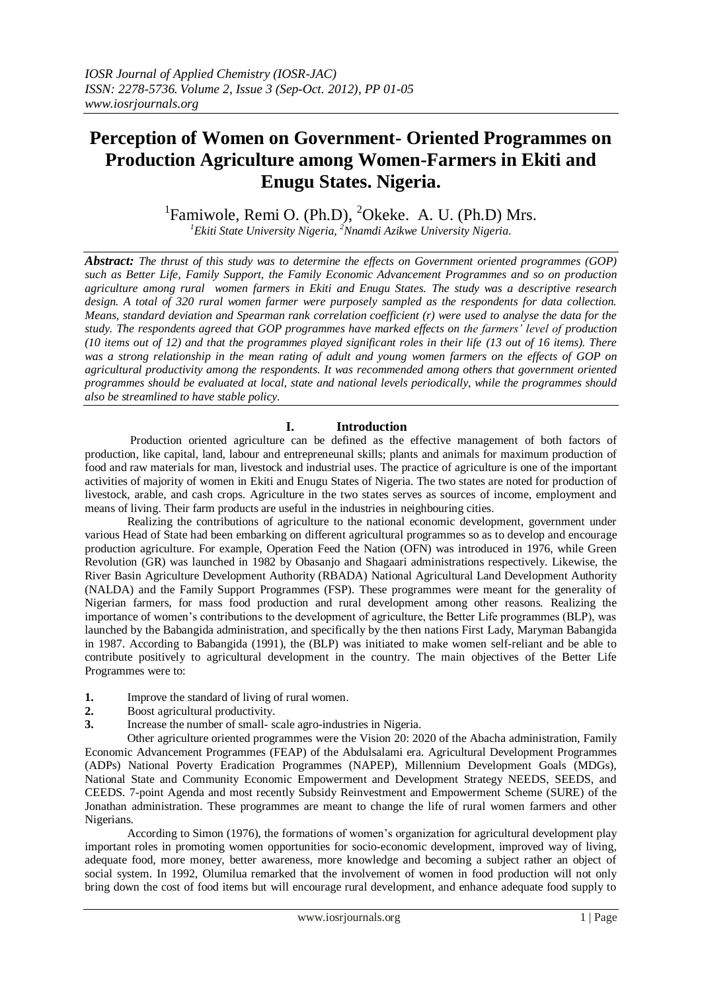# **Perception of Women on Government- Oriented Programmes on Production Agriculture among Women-Farmers in Ekiti and Enugu States. Nigeria.**

<sup>1</sup>Famiwole, Remi O. (Ph.D), <sup>2</sup>Okeke. A. U. (Ph.D) Mrs.

*<sup>1</sup>Ekiti State University Nigeria, <sup>2</sup>Nnamdi Azikwe University Nigeria.*

*Abstract: The thrust of this study was to determine the effects on Government oriented programmes (GOP) such as Better Life, Family Support, the Family Economic Advancement Programmes and so on production agriculture among rural women farmers in Ekiti and Enugu States. The study was a descriptive research design. A total of 320 rural women farmer were purposely sampled as the respondents for data collection. Means, standard deviation and Spearman rank correlation coefficient (r) were used to analyse the data for the study. The respondents agreed that GOP programmes have marked effects on the farmers' level of production (10 items out of 12) and that the programmes played significant roles in their life (13 out of 16 items). There was a strong relationship in the mean rating of adult and young women farmers on the effects of GOP on agricultural productivity among the respondents. It was recommended among others that government oriented programmes should be evaluated at local, state and national levels periodically, while the programmes should also be streamlined to have stable policy.*

# **I. Introduction**

 Production oriented agriculture can be defined as the effective management of both factors of production, like capital, land, labour and entrepreneunal skills; plants and animals for maximum production of food and raw materials for man, livestock and industrial uses. The practice of agriculture is one of the important activities of majority of women in Ekiti and Enugu States of Nigeria. The two states are noted for production of livestock, arable, and cash crops. Agriculture in the two states serves as sources of income, employment and means of living. Their farm products are useful in the industries in neighbouring cities.

 Realizing the contributions of agriculture to the national economic development, government under various Head of State had been embarking on different agricultural programmes so as to develop and encourage production agriculture. For example, Operation Feed the Nation (OFN) was introduced in 1976, while Green Revolution (GR) was launched in 1982 by Obasanjo and Shagaari administrations respectively. Likewise, the River Basin Agriculture Development Authority (RBADA) National Agricultural Land Development Authority (NALDA) and the Family Support Programmes (FSP). These programmes were meant for the generality of Nigerian farmers, for mass food production and rural development among other reasons. Realizing the importance of women's contributions to the development of agriculture, the Better Life programmes (BLP), was launched by the Babangida administration, and specifically by the then nations First Lady, Maryman Babangida in 1987. According to Babangida (1991), the (BLP) was initiated to make women self-reliant and be able to contribute positively to agricultural development in the country. The main objectives of the Better Life Programmes were to:

- **1.** Improve the standard of living of rural women.
- **2.** Boost agricultural productivity.
- **3.** Increase the number of small- scale agro-industries in Nigeria.

 Other agriculture oriented programmes were the Vision 20: 2020 of the Abacha administration, Family Economic Advancement Programmes (FEAP) of the Abdulsalami era. Agricultural Development Programmes (ADPs) National Poverty Eradication Programmes (NAPEP), Millennium Development Goals (MDGs), National State and Community Economic Empowerment and Development Strategy NEEDS, SEEDS, and CEEDS. 7-point Agenda and most recently Subsidy Reinvestment and Empowerment Scheme (SURE) of the Jonathan administration. These programmes are meant to change the life of rural women farmers and other Nigerians.

 According to Simon (1976), the formations of women's organization for agricultural development play important roles in promoting women opportunities for socio-economic development, improved way of living, adequate food, more money, better awareness, more knowledge and becoming a subject rather an object of social system. In 1992, Olumilua remarked that the involvement of women in food production will not only bring down the cost of food items but will encourage rural development, and enhance adequate food supply to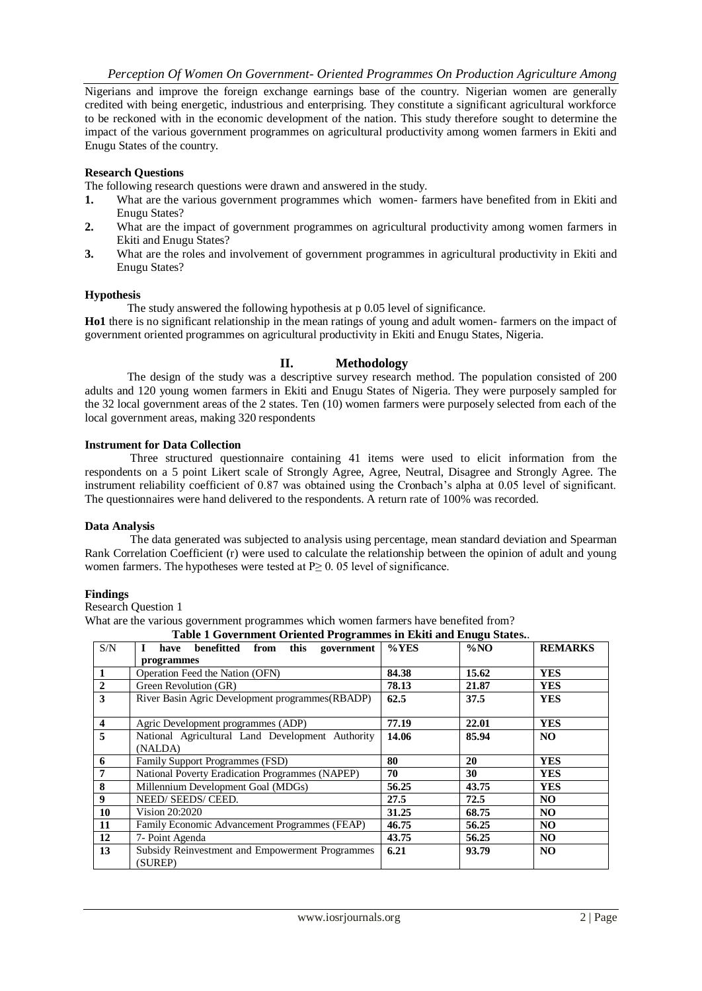Nigerians and improve the foreign exchange earnings base of the country. Nigerian women are generally credited with being energetic, industrious and enterprising. They constitute a significant agricultural workforce to be reckoned with in the economic development of the nation. This study therefore sought to determine the impact of the various government programmes on agricultural productivity among women farmers in Ekiti and Enugu States of the country.

#### **Research Questions**

The following research questions were drawn and answered in the study.

- **1.** What are the various government programmes which women- farmers have benefited from in Ekiti and Enugu States?
- **2.** What are the impact of government programmes on agricultural productivity among women farmers in Ekiti and Enugu States?
- **3.** What are the roles and involvement of government programmes in agricultural productivity in Ekiti and Enugu States?

#### **Hypothesis**

The study answered the following hypothesis at p 0.05 level of significance.

**Ho1** there is no significant relationship in the mean ratings of young and adult women- farmers on the impact of government oriented programmes on agricultural productivity in Ekiti and Enugu States, Nigeria.

### **II. Methodology**

 The design of the study was a descriptive survey research method. The population consisted of 200 adults and 120 young women farmers in Ekiti and Enugu States of Nigeria. They were purposely sampled for the 32 local government areas of the 2 states. Ten (10) women farmers were purposely selected from each of the local government areas, making 320 respondents

#### **Instrument for Data Collection**

 Three structured questionnaire containing 41 items were used to elicit information from the respondents on a 5 point Likert scale of Strongly Agree, Agree, Neutral, Disagree and Strongly Agree. The instrument reliability coefficient of 0.87 was obtained using the Cronbach's alpha at 0.05 level of significant. The questionnaires were hand delivered to the respondents. A return rate of 100% was recorded.

#### **Data Analysis**

 The data generated was subjected to analysis using percentage, mean standard deviation and Spearman Rank Correlation Coefficient (r) were used to calculate the relationship between the opinion of adult and young women farmers. The hypotheses were tested at  $P \geq 0.05$  level of significance.

#### **Findings**

Research Question 1

What are the various government programmes which women farmers have benefited from?

| Table 1 Government Oriented Programmes in Ekiti and Enugu States |                                                        |          |        |                |  |
|------------------------------------------------------------------|--------------------------------------------------------|----------|--------|----------------|--|
| S/N                                                              | benefitted from this government<br>have                | $\%$ YES | $\%NO$ | <b>REMARKS</b> |  |
|                                                                  | programmes                                             |          |        |                |  |
|                                                                  | Operation Feed the Nation (OFN)                        | 84.38    | 15.62  | <b>YES</b>     |  |
| $\overline{2}$                                                   | Green Revolution (GR)                                  | 78.13    | 21.87  | <b>YES</b>     |  |
| 3                                                                | River Basin Agric Development programmes (RBADP)       |          | 37.5   | <b>YES</b>     |  |
|                                                                  |                                                        |          |        |                |  |
| $\overline{\mathbf{4}}$                                          | Agric Development programmes (ADP)                     | 77.19    | 22.01  | <b>YES</b>     |  |
| 5                                                                | National Agricultural Land Development Authority       |          | 85.94  | NO.            |  |
|                                                                  | (NALDA)                                                |          |        |                |  |
| 6                                                                | <b>Family Support Programmes (FSD)</b>                 | 80       | 20     | <b>YES</b>     |  |
| 7                                                                | <b>National Poverty Eradication Programmes (NAPEP)</b> | 70       | 30     | <b>YES</b>     |  |
| 8                                                                | Millennium Development Goal (MDGs)                     | 56.25    | 43.75  | <b>YES</b>     |  |
| 9                                                                | NEED/SEEDS/CEED.                                       |          | 72.5   | NO.            |  |
| 10                                                               | Vision 20:2020                                         | 31.25    | 68.75  | NO.            |  |
| 11                                                               | Family Economic Advancement Programmes (FEAP)          | 46.75    | 56.25  | NO.            |  |
| 12                                                               | 7- Point Agenda                                        | 43.75    | 56.25  | NO.            |  |
| 13                                                               | Subsidy Reinvestment and Empowerment Programmes        | 6.21     | 93.79  | NO.            |  |
|                                                                  | (SUREP)                                                |          |        |                |  |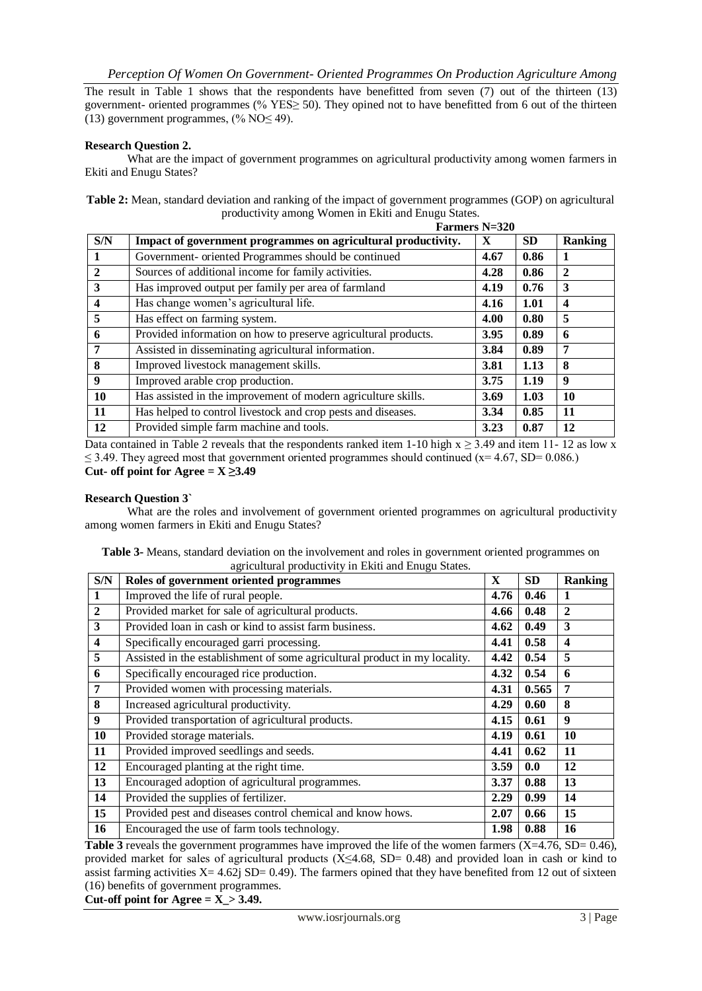The result in Table 1 shows that the respondents have benefitted from seven  $(7)$  out of the thirteen  $(13)$ government- oriented programmes (%  $YES \ge 50$ ). They opined not to have benefitted from 6 out of the thirteen (13) government programmes,  $\frac{0}{6}$  NO $\leq$  49).

## **Research Question 2.**

What are the impact of government programmes on agricultural productivity among women farmers in Ekiti and Enugu States?

**Table 2:** Mean, standard deviation and ranking of the impact of government programmes (GOP) on agricultural productivity among Women in Ekiti and Enugu States.<br> **Example:** N=320

|                  |                                                                | <b>Farmers N=320</b> |           |                         |
|------------------|----------------------------------------------------------------|----------------------|-----------|-------------------------|
| S/N              | Impact of government programmes on agricultural productivity.  | X                    | <b>SD</b> | <b>Ranking</b>          |
| 1                | Government- oriented Programmes should be continued            | 4.67                 | 0.86      | 1                       |
| $\mathbf{2}$     | Sources of additional income for family activities.            | 4.28                 | 0.86      | $\mathbf{2}$            |
| 3                | Has improved output per family per area of farmland            | 4.19                 | 0.76      | 3                       |
| $\boldsymbol{4}$ | Has change women's agricultural life.                          | 4.16                 | 1.01      | $\overline{\mathbf{4}}$ |
| 5                | Has effect on farming system.                                  | 4.00                 | 0.80      | 5                       |
| 6                | Provided information on how to preserve agricultural products. | 3.95                 | 0.89      | 6                       |
| 7                | Assisted in disseminating agricultural information.            |                      | 0.89      | 7                       |
| 8                | Improved livestock management skills.                          |                      | 1.13      | 8                       |
| $\boldsymbol{9}$ | Improved arable crop production.                               | 3.75                 | 1.19      | 9                       |
| 10               | Has assisted in the improvement of modern agriculture skills.  | 3.69                 | 1.03      | 10                      |
| 11               | Has helped to control livestock and crop pests and diseases.   |                      | 0.85      | 11                      |
| 12               | Provided simple farm machine and tools.                        | 3.23                 | 0.87      | 12                      |

Data contained in Table 2 reveals that the respondents ranked item 1-10 high  $x \ge 3.49$  and item 11- 12 as low x  $\leq$  3.49. They agreed most that government oriented programmes should continued (x= 4.67, SD= 0.086.) Cut- off point for Agree  $= X \geq 3.49$ 

#### **Research Question 3`**

What are the roles and involvement of government oriented programmes on agricultural productivity among women farmers in Ekiti and Enugu States?

| Table 3- Means, standard deviation on the involvement and roles in government oriented programmes on |                                                      |  |
|------------------------------------------------------------------------------------------------------|------------------------------------------------------|--|
|                                                                                                      | agricultural productivity in Ekiti and Enugu States. |  |

| S/N                     | Roles of government oriented programmes                                    | $\mathbf{X}$ | <b>SD</b> | <b>Ranking</b>          |
|-------------------------|----------------------------------------------------------------------------|--------------|-----------|-------------------------|
| $\mathbf{1}$            | Improved the life of rural people.                                         | 4.76         | 0.46      | 1                       |
| $\overline{2}$          | Provided market for sale of agricultural products.                         | 4.66         | 0.48      | $\mathbf{2}$            |
| $\overline{\mathbf{3}}$ | Provided loan in cash or kind to assist farm business.                     | 4.62         | 0.49      | 3                       |
| $\overline{\mathbf{4}}$ | Specifically encouraged garri processing.                                  | 4.41         | 0.58      | $\overline{\mathbf{4}}$ |
| 5                       | Assisted in the establishment of some agricultural product in my locality. | 4.42         | 0.54      | 5                       |
| 6                       | Specifically encouraged rice production.                                   | 4.32         | 0.54      | 6                       |
| 7                       | Provided women with processing materials.                                  | 4.31         | 0.565     | 7                       |
| 8                       | Increased agricultural productivity.                                       | 4.29         | 0.60      | 8                       |
| 9                       | Provided transportation of agricultural products.                          | 4.15         | 0.61      | 9                       |
| 10                      | Provided storage materials.                                                | 4.19         | 0.61      | 10                      |
| 11                      | Provided improved seedlings and seeds.                                     | 4.41         | 0.62      | 11                      |
| 12                      | Encouraged planting at the right time.                                     | 3.59         | 0.0       | 12                      |
| 13                      | Encouraged adoption of agricultural programmes.                            | 3.37         | 0.88      | 13                      |
| 14                      | Provided the supplies of fertilizer.                                       | 2.29         | 0.99      | 14                      |
| 15                      | Provided pest and diseases control chemical and know hows.                 | 2.07         | 0.66      | 15                      |
| 16                      | Encouraged the use of farm tools technology.                               | 1.98         | 0.88      | 16                      |

**Table 3** reveals the government programmes have improved the life of the women farmers  $(X=4.76, SD= 0.46)$ , provided market for sales of agricultural products ( $X \le 4.68$ , SD= 0.48) and provided loan in cash or kind to assist farming activities  $X= 4.62$  SD= 0.49). The farmers opined that they have benefited from 12 out of sixteen (16) benefits of government programmes.

Cut-off point for  $\text{Agree} = X > 3.49$ .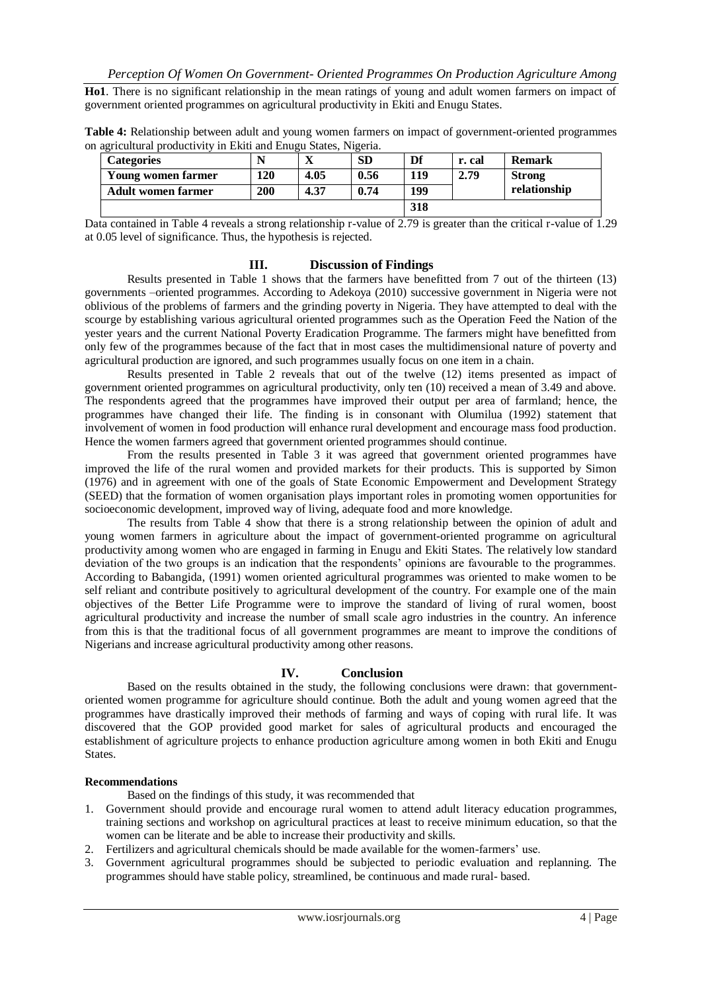**Ho1**. There is no significant relationship in the mean ratings of young and adult women farmers on impact of government oriented programmes on agricultural productivity in Ekiti and Enugu States.

| n agricultural productivity in Ekiti and Enugu States. Nigeria. |                           |     |      |      |     |        |               |
|-----------------------------------------------------------------|---------------------------|-----|------|------|-----|--------|---------------|
|                                                                 | <b>Categories</b>         |     |      | SD   | Df  | r. cal | <b>Remark</b> |
|                                                                 | Young women farmer        | 120 | 4.05 | 0.56 | 119 | 2.79   | <b>Strong</b> |
|                                                                 | <b>Adult women farmer</b> | 200 | 4.37 | 0.74 | 199 |        | relationship  |

**Table 4:** Relationship between adult and young women farmers on impact of government-oriented programmes on agricultural productivity in Ekiti and Enugu States, Nigeria.

Data contained in Table 4 reveals a strong relationship r-value of 2.79 is greater than the critical r-value of 1.29 at 0.05 level of significance. Thus, the hypothesis is rejected.

**318**

#### **III. Discussion of Findings**

 Results presented in Table 1 shows that the farmers have benefitted from 7 out of the thirteen (13) governments –oriented programmes. According to Adekoya (2010) successive government in Nigeria were not oblivious of the problems of farmers and the grinding poverty in Nigeria. They have attempted to deal with the scourge by establishing various agricultural oriented programmes such as the Operation Feed the Nation of the yester years and the current National Poverty Eradication Programme. The farmers might have benefitted from only few of the programmes because of the fact that in most cases the multidimensional nature of poverty and agricultural production are ignored, and such programmes usually focus on one item in a chain.

 Results presented in Table 2 reveals that out of the twelve (12) items presented as impact of government oriented programmes on agricultural productivity, only ten (10) received a mean of 3.49 and above. The respondents agreed that the programmes have improved their output per area of farmland; hence, the programmes have changed their life. The finding is in consonant with Olumilua (1992) statement that involvement of women in food production will enhance rural development and encourage mass food production. Hence the women farmers agreed that government oriented programmes should continue.

 From the results presented in Table 3 it was agreed that government oriented programmes have improved the life of the rural women and provided markets for their products. This is supported by Simon (1976) and in agreement with one of the goals of State Economic Empowerment and Development Strategy (SEED) that the formation of women organisation plays important roles in promoting women opportunities for socioeconomic development, improved way of living, adequate food and more knowledge.

 The results from Table 4 show that there is a strong relationship between the opinion of adult and young women farmers in agriculture about the impact of government-oriented programme on agricultural productivity among women who are engaged in farming in Enugu and Ekiti States. The relatively low standard deviation of the two groups is an indication that the respondents' opinions are favourable to the programmes. According to Babangida, (1991) women oriented agricultural programmes was oriented to make women to be self reliant and contribute positively to agricultural development of the country. For example one of the main objectives of the Better Life Programme were to improve the standard of living of rural women, boost agricultural productivity and increase the number of small scale agro industries in the country. An inference from this is that the traditional focus of all government programmes are meant to improve the conditions of Nigerians and increase agricultural productivity among other reasons.

#### **IV. Conclusion**

 Based on the results obtained in the study, the following conclusions were drawn: that governmentoriented women programme for agriculture should continue. Both the adult and young women agreed that the programmes have drastically improved their methods of farming and ways of coping with rural life. It was discovered that the GOP provided good market for sales of agricultural products and encouraged the establishment of agriculture projects to enhance production agriculture among women in both Ekiti and Enugu States.

#### **Recommendations**

Based on the findings of this study, it was recommended that

- 1. Government should provide and encourage rural women to attend adult literacy education programmes, training sections and workshop on agricultural practices at least to receive minimum education, so that the women can be literate and be able to increase their productivity and skills.
- 2. Fertilizers and agricultural chemicals should be made available for the women-farmers' use.
- 3. Government agricultural programmes should be subjected to periodic evaluation and replanning. The programmes should have stable policy, streamlined, be continuous and made rural- based.